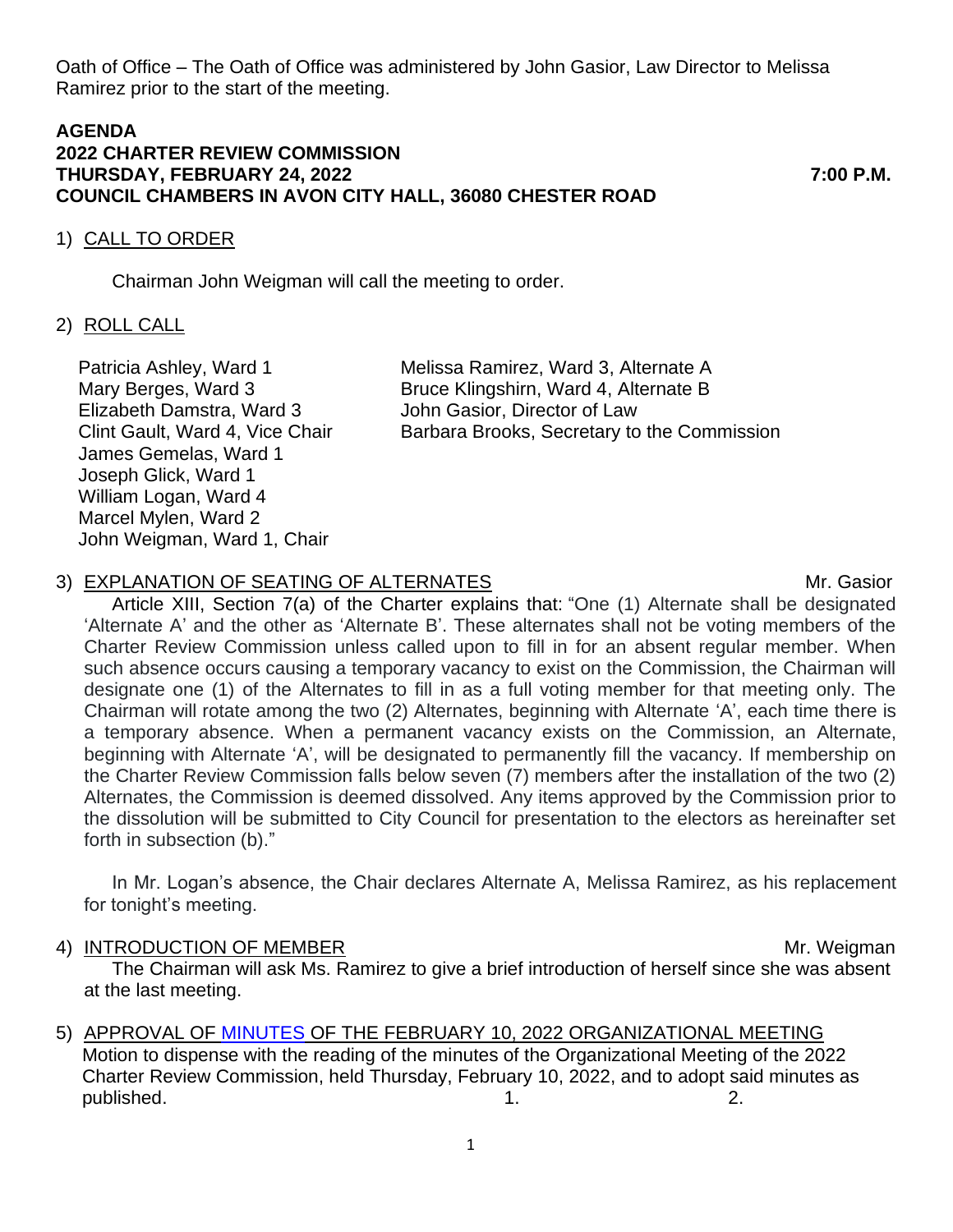Oath of Office – The Oath of Office was administered by John Gasior, Law Director to Melissa Ramirez prior to the start of the meeting.

### **AGENDA 2022 CHARTER REVIEW COMMISSION THURSDAY, FEBRUARY 24, 2022 7:00 P.M. COUNCIL CHAMBERS IN AVON CITY HALL, 36080 CHESTER ROAD**

### 1) CALL TO ORDER

Chairman John Weigman will call the meeting to order.

### 2) ROLL CALL

Patricia Ashley, Ward 1 Melissa Ramirez, Ward 3, Alternate A Elizabeth Damstra, Ward 3 John Gasior, Director of Law James Gemelas, Ward 1 Joseph Glick, Ward 1 William Logan, Ward 4 Marcel Mylen, Ward 2 John Weigman, Ward 1, Chair

Mary Berges, Ward 3 Bruce Klingshirn, Ward 4, Alternate B Clint Gault, Ward 4, Vice Chair Barbara Brooks, Secretary to the Commission

# 3) EXPLANATION OF SEATING OF ALTERNATES MILLION CONTROLLERGY MIT. Gasior

Article XIII, Section 7(a) of the Charter explains that: "One (1) Alternate shall be designated 'Alternate A' and the other as 'Alternate B'. These alternates shall not be voting members of the Charter Review Commission unless called upon to fill in for an absent regular member. When such absence occurs causing a temporary vacancy to exist on the Commission, the Chairman will designate one (1) of the Alternates to fill in as a full voting member for that meeting only. The Chairman will rotate among the two (2) Alternates, beginning with Alternate 'A', each time there is a temporary absence. When a permanent vacancy exists on the Commission, an Alternate, beginning with Alternate 'A', will be designated to permanently fill the vacancy. If membership on the Charter Review Commission falls below seven (7) members after the installation of the two (2) Alternates, the Commission is deemed dissolved. Any items approved by the Commission prior to the dissolution will be submitted to City Council for presentation to the electors as hereinafter set forth in subsection (b)."

In Mr. Logan's absence, the Chair declares Alternate A, Melissa Ramirez, as his replacement for tonight's meeting.

#### 4) INTRODUCTION OF MEMBER Management of the Mr. Weigman

The Chairman will ask Ms. Ramirez to give a brief introduction of herself since she was absent at the last meeting.

5) APPROVAL OF [MINUTES](https://www.cityofavon.com/AgendaCenter/ViewFile/Minutes/_02102022-1061) OF THE FEBRUARY 10, 2022 ORGANIZATIONAL MEETING

 Motion to dispense with the reading of the minutes of the Organizational Meeting of the 2022 Charter Review Commission, held Thursday, February 10, 2022, and to adopt said minutes as published. 1. 2.